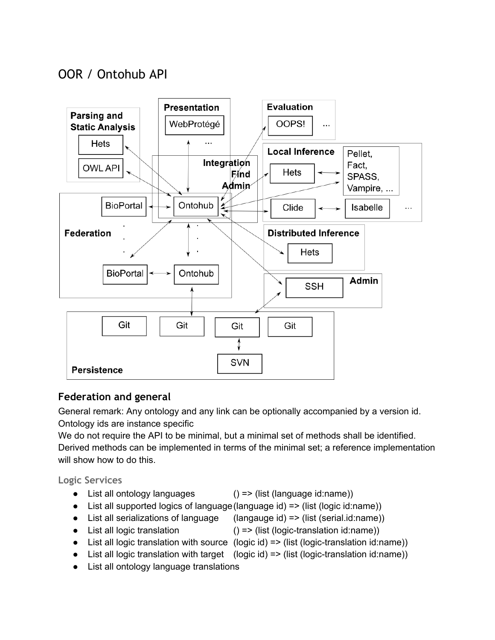# OOR / Ontohub API



## **Federation and general**

General remark: Any ontology and any link can be optionally accompanied by a version id. Ontology ids are instance specific

We do not require the API to be minimal, but a minimal set of methods shall be identified. Derived methods can be implemented in terms of the minimal set; a reference implementation will show how to do this.

**Logic Services**

- List all ontology languages  $()$  => (list (language id:name))
- List all supported logics of language (language id) => (list (logic id:name))
- List all serializations of language (langauge id) => (list (serial.id:name))
- List all logic translation  $() \Rightarrow$  (list (logic-translation id:name))
- List all logic translation with source (logic id)  $\Rightarrow$  (list (logic-translation id:name))
- List all logic translation with target  $(\text{logic id}) \Rightarrow (\text{list (logic-translation id:name)})$
- List all ontology language translations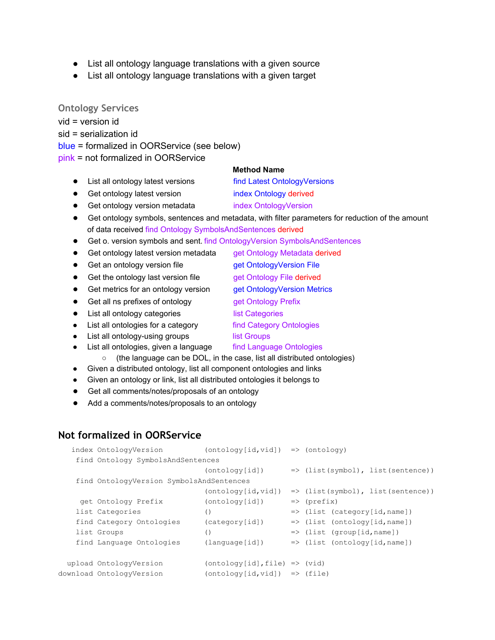- List all ontology language translations with a given source
- List all ontology language translations with a given target

**Ontology Services**

vid = version id

sid = serialization id

blue = formalized in OORService (see below)

pink = not formalized in OORService

### **Method Name**

- List all ontology latest versions find Latest OntologyVersions
- Get ontology latest version index Ontology derived
- Get ontology version metadata index OntologyVersion
- Get ontology symbols, sentences and metadata, with filter parameters for reduction of the amount of data received find Ontology SymbolsAndSentences derived
- Get o. version symbols and sent. find OntologyVersion SymbolsAndSentences
- Get ontology latest version metadata get Ontology Metadata derived
- Get an ontology version file **get OntologyVersion File**
- Get the ontology last version file get Ontology File derived
- Get metrics for an ontology version get OntologyVersion Metrics
- Get all ns prefixes of ontology get Ontology Prefix
- List all ontology categories list Categories
- List all ontologies for a category find Category Ontologies
- List all ontology-using groups list Groups
- List all ontologies, given a language find Language Ontologies
	- (the language can be DOL, in the case, list all distributed ontologies)
- Given a distributed ontology, list all component ontologies and links
- Given an ontology or link, list all distributed ontologies it belongs to
- Get all comments/notes/proposals of an ontology
- Add a comments/notes/proposals to an ontology

### **Not formalized in OORService**

| index OntologyVersion                    | $(ontology[id, vid])$ => $(ontology)$ |                                              |
|------------------------------------------|---------------------------------------|----------------------------------------------|
| find Ontology SymbolsAndSentences        |                                       |                                              |
|                                          | (ontology[id])                        | $\Rightarrow$ (list(symbol), list(sentence)) |
| find OntologyVersion SymbolsAndSentences |                                       |                                              |
|                                          | (ontology [id, vid])                  | $\Rightarrow$ (list(symbol), list(sentence)) |
| get Ontology Prefix                      | (ontology[id])                        | $\Rightarrow$ (prefix)                       |
| list Categories                          | $\left( \right)$                      | $\Rightarrow$ (list (category[id, name])     |
| find Category Ontologies                 | (categorical)                         | $\Rightarrow$ (list (ontology[id, name])     |
| list Groups                              | $\left( \right)$                      | $\Rightarrow$ (list (group[id, name])        |
| find Language Ontologies                 | (lanquage[id])                        | $\Rightarrow$ (list (ontology[id, name])     |
|                                          |                                       |                                              |
| upload OntologyVersion                   | $(ontology[id], file)$ => $(vid)$     |                                              |
| download OntologyVersion                 | $(ontology_id, vid)$ => $(file)$      |                                              |
|                                          |                                       |                                              |

- 
- 
- 
- 
- 
- 
- 
- 
- 
- 
- 
-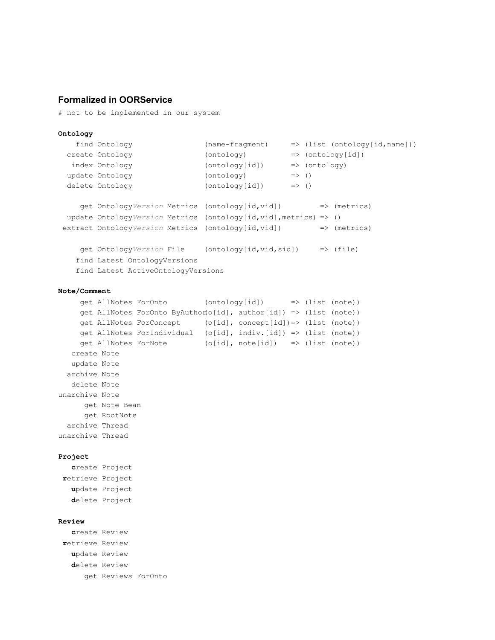### **Formalized in OORService**

# not to be implemented in our system

```
Ontology
  find Ontology (namefragment) => (list (ontology[id,name]))
 create Ontology (ontology) => (ontology[id])
  index Ontology \qquad \qquad \text{(ontology[id])} \qquad \Rightarrow \text{(ontology)}update Ontology (onto)delete Ontology (ontology[id]) => ()
    get OntologyVersion Metrics (ontology[id,vid]) => (metrics)
 update OntologyVersion Metrics (ontology[id,vid],metrics) => ()
 extract OntologyVersion Metrics (ontology[id,vid]) => (metrics)
    get OntologyVersion File (ontology[id,vid,sid]) => (file)
   find Latest OntologyVersions
   find Latest ActiveOntologyVersions
Note/Comment
```

```
get AllNotes ForOnto (ontology[id]) => (list (note))
    get AllNotes ForOnto ByAuthor(o[id], author[id]) => (list (note))
    get AllNotes ForConcept (o[id], concept[id])=> (list (note))
    get AllNotes ForIndividual (o[id], indiv.[id]) => (list (note))
    get AllNotes ForNote (o[id], note[id]) => (list (note))
  create Note
  update Note
 archive Note
  delete Note
unarchive Note
     get Note Bean
     get RootNote
 archive Thread
unarchive Thread
```
#### **Project**

**c**reate Project **r**etrieve Project **u**pdate Project **d**elete Project

#### **Review**

**c**reate Review **r**etrieve Review **u**pdate Review **d**elete Review get Reviews ForOnto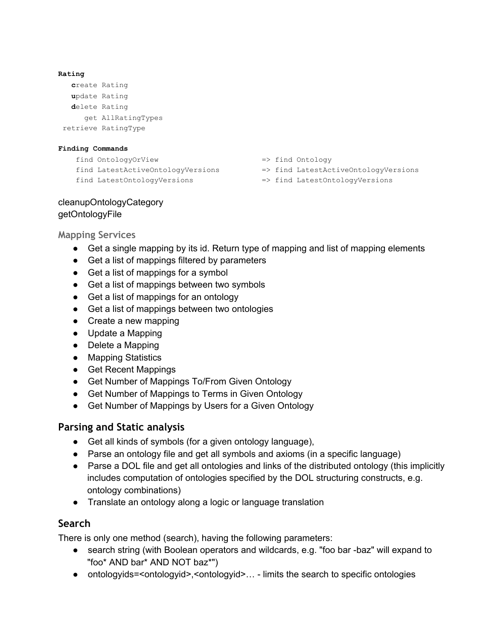```
Rating
  create Rating
  update Rating
  delete Rating
     get AllRatingTypes
retrieve RatingType
```
### **Finding Commands**

```
find OntologyOrView => find Ontology
find LatestActiveOntologyVersions => find LatestActiveOntologyVersions
find LatestOntologyVersions => find LatestOntologyVersions
```
- 
- 
- 

## cleanupOntologyCategory getOntologyFile

**Mapping Services**

- Get a single mapping by its id. Return type of mapping and list of mapping elements
- Get a list of mappings filtered by parameters
- Get a list of mappings for a symbol
- Get a list of mappings between two symbols
- Get a list of mappings for an ontology
- Get a list of mappings between two ontologies
- Create a new mapping
- Update a Mapping
- Delete a Mapping
- Mapping Statistics
- Get Recent Mappings
- Get Number of Mappings To/From Given Ontology
- Get Number of Mappings to Terms in Given Ontology
- Get Number of Mappings by Users for a Given Ontology

## **Parsing and Static analysis**

- Get all kinds of symbols (for a given ontology language),
- Parse an ontology file and get all symbols and axioms (in a specific language)
- Parse a DOL file and get all ontologies and links of the distributed ontology (this implicitly includes computation of ontologies specified by the DOL structuring constructs, e.g. ontology combinations)
- Translate an ontology along a logic or language translation

## **Search**

There is only one method (search), having the following parameters:

- search string (with Boolean operators and wildcards, e.g. "foo bar -baz" will expand to "foo\* AND bar\* AND NOT baz\*")
- ontologyids=<ontologyid>,<ontologyid>... limits the search to specific ontologies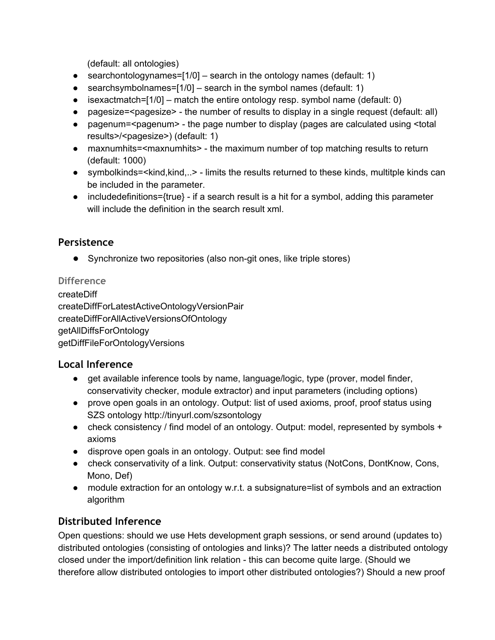(default: all ontologies)

- searchontologynames= $[1/0]$  search in the ontology names (default: 1)
- searchsymbolnames= $[1/0]$  search in the symbol names (default: 1)
- $\bullet$  isexactmatch=[1/0] match the entire ontology resp. symbol name (default: 0)
- pagesize=<pagesize> the number of results to display in a single request (default: all)
- pagenum=<pagenum> the page number to display (pages are calculated using <total results>/<pagesize>) (default: 1)
- maxnumhits=<maxnumhits> the maximum number of top matching results to return (default: 1000)
- symbolkinds=<kind,kind,..> limits the results returned to these kinds, multitple kinds can be included in the parameter.
- $\bullet$  includedefinitions={true}  $\cdot$  if a search result is a hit for a symbol, adding this parameter will include the definition in the search result xml.

## **Persistence**

**•** Synchronize two repositories (also non-git ones, like triple stores)

## **Difference**

createDiff createDiffForLatestActiveOntologyVersionPair createDiffForAllActiveVersionsOfOntology getAllDiffsForOntology getDiffFileForOntologyVersions

## **Local Inference**

- get available inference tools by name, language/logic, type (prover, model finder, conservativity checker, module extractor) and input parameters (including options)
- prove open goals in an ontology. Output: list of used axioms, proof, proof status using SZS ontology http://tinyurl.com/szsontology
- check consistency / find model of an ontology. Output: model, represented by symbols + axioms
- disprove open goals in an ontology. Output: see find model
- check conservativity of a link. Output: conservativity status (NotCons, DontKnow, Cons, Mono, Def)
- module extraction for an ontology w.r.t. a subsignature=list of symbols and an extraction algorithm

## **Distributed Inference**

Open questions: should we use Hets development graph sessions, or send around (updates to) distributed ontologies (consisting of ontologies and links)? The latter needs a distributed ontology closed under the import/definition link relation - this can become quite large. (Should we therefore allow distributed ontologies to import other distributed ontologies?) Should a new proof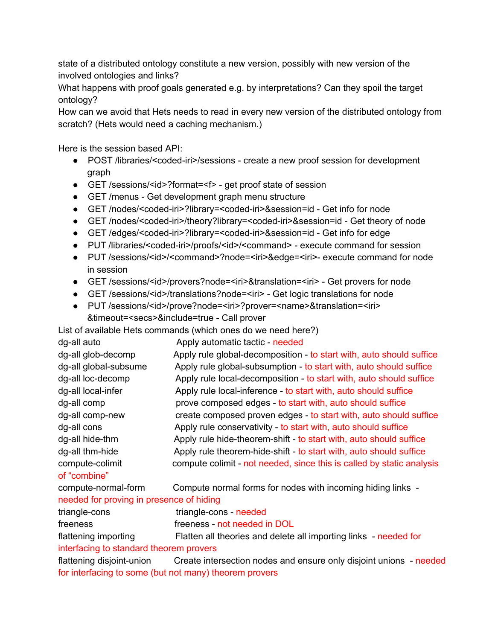state of a distributed ontology constitute a new version, possibly with new version of the involved ontologies and links?

What happens with proof goals generated e.g. by interpretations? Can they spoil the target ontology?

How can we avoid that Hets needs to read in every new version of the distributed ontology from scratch? (Hets would need a caching mechanism.)

Here is the session based API:

- POST /libraries/<coded-iri>/sessions create a new proof session for development graph
- GET /sessions/<id>?format=<f> get proof state of session
- GET/menus Get development graph menu structure
- GET /nodes/<coded-iri>?library=<coded-iri>&session=id Get info for node
- GET /nodes/<coded-iri>/theory?library=<coded-iri>&session=id Get theory of node
- GET /edges/<coded-iri>?library=<coded-iri>&session=id Get info for edge
- PUT /libraries/<coded-iri>/proofs/<id>/<command> execute command for session
- PUT /sessions/<id>/<command>?node=<iri>&edge=<iri>-execute command for node in session
- GET /sessions/<id>/provers?node=<iri>&translation=<iri> Get provers for node
- GET /sessions/<id>/translations?node=<iri> Get logic translations for node
- PUT /sessions/<id>/prove?node=<iri>?prover=<name>&translation=<iri> &timeout=<secs>&include=true Call prover

List of available Hets commands (which ones do we need here?)

| dg-all auto           | Apply automatic tactic - needed                                       |
|-----------------------|-----------------------------------------------------------------------|
| dg-all glob-decomp    | Apply rule global-decomposition - to start with, auto should suffice  |
| dg-all global-subsume | Apply rule global-subsumption - to start with, auto should suffice    |
| dg-all loc-decomp     | Apply rule local-decomposition - to start with, auto should suffice   |
| dg-all local-infer    | Apply rule local-inference - to start with, auto should suffice       |
| dg-all comp           | prove composed edges - to start with, auto should suffice             |
| dg-all comp-new       | create composed proven edges - to start with, auto should suffice     |
| dg-all cons           | Apply rule conservativity - to start with, auto should suffice        |
| dg-all hide-thm       | Apply rule hide-theorem-shift - to start with, auto should suffice    |
| dg-all thm-hide       | Apply rule theorem-hide-shift - to start with, auto should suffice    |
| compute-colimit       | compute colimit - not needed, since this is called by static analysis |
| of "combine"          |                                                                       |
| compute-normal-form   | Compute normal forms for nodes with incoming hiding links -           |

## needed for proving in presence of hiding

| triangle-cons                           | triangle-cons - needed                                             |  |  |
|-----------------------------------------|--------------------------------------------------------------------|--|--|
| freeness                                | freeness - not needed in DOL                                       |  |  |
| flattening importing                    | Flatten all theories and delete all importing links - needed for   |  |  |
| interfacing to standard theorem provers |                                                                    |  |  |
| flattening disjoint-union               | Create intersection nodes and ensure only disjoint unions - needed |  |  |
|                                         | for interfacing to some (but not many) theorem provers             |  |  |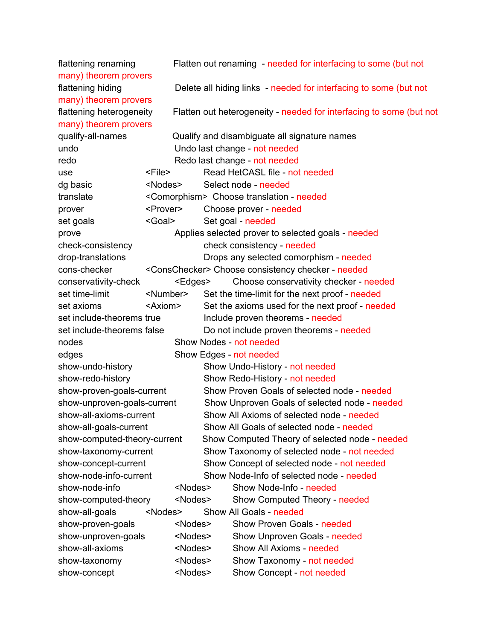flattening renaming Flatten out renaming needed for interfacing to some (but not many) theorem provers flattening hiding **Delete all hiding links** - needed for interfacing to some (but not many) theorem provers flattening heterogeneity Flatten out heterogeneity - needed for interfacing to some (but not many) theorem provers qualify-all-names Qualify and disambiguate all signature names undo Undo last change - not needed redo **Redo last change** - not needed use <File> Read HetCASL file not needed dg basic <Nodes> Select node - needed translate <Comorphism> Choose translation needed prover <Prover> Choose prover needed set goals <Goal> Set goal - needed prove **Applies selected prover to selected goals** - needed check-consistency check consistency - needed drop-translations Drops any selected comorphism - needed conschecker <ConsChecker> Choose consistency checker needed conservativity-check <Edges> Choose conservativity checker - needed set time-limit <Number> Set the time-limit for the next proof - needed set axioms <Axiom> Set the axioms used for the next proof needed set include-theorems true Include proven theorems - needed set include-theorems false Do not include proven theorems - needed nodes not needed Show Nodes - not needed edges Bhow Edges - not needed show-undo-history Show Undo-History - not needed show-redo-history Show Redo-History - not needed show-proven-goals-current Show Proven Goals of selected node - needed show-unproven-goals-current Show Unproven Goals of selected node - needed show-all-axioms-current Show All Axioms of selected node - needed show-all-goals-current Show All Goals of selected node - needed show-computed-theory-current Show Computed Theory of selected node - needed show-taxonomy-current Show Taxonomy of selected node - not needed show-concept-current Show Concept of selected node - not needed show-node-info-current Show Node-Info of selected node - needed show-node-info <Nodes> Show Node-Info - needed show-computed-theory <Nodes> Show Computed Theory - needed show-all-goals <Nodes> Show All Goals - needed show-proven-goals <Nodes> Show Proven Goals - needed show-unproven-goals <Nodes> Show Unproven Goals - needed showallaxioms <Nodes> Show All Axioms needed show-taxonomy <Nodes> Show Taxonomy - not needed show-concept <Nodes> Show Concept - not needed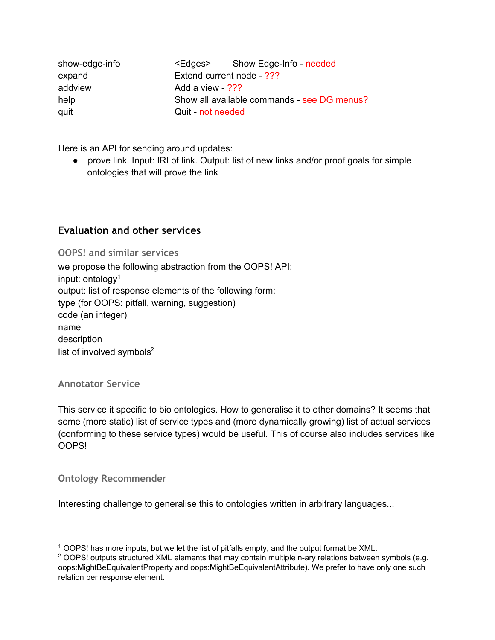| show-edge-info |                                             | <edges> Show Edge-Info - needed</edges> |  |  |
|----------------|---------------------------------------------|-----------------------------------------|--|--|
| expand         |                                             | Extend current node - ???               |  |  |
| addview        |                                             | Add a view - ???                        |  |  |
| help           | Show all available commands - see DG menus? |                                         |  |  |
| quit           | Quit - not needed                           |                                         |  |  |

Here is an API for sending around updates:

● prove link. Input: IRI of link. Output: list of new links and/or proof goals for simple ontologies that will prove the link

## **Evaluation and other services**

**OOPS! and similar services**

we propose the following abstraction from the OOPS! API: input: ontology 1 output: list of response elements of the following form: type (for OOPS: pitfall, warning, suggestion) code (an integer) name description list of involved symbols $2$ 

### **Annotator Service**

This service it specific to bio ontologies. How to generalise it to other domains? It seems that some (more static) list of service types and (more dynamically growing) list of actual services (conforming to these service types) would be useful. This of course also includes services like OOPS!

**Ontology Recommender**

Interesting challenge to generalise this to ontologies written in arbitrary languages...

<sup>1</sup> OOPS! has more inputs, but we let the list of pitfalls empty, and the output format be XML.

 $2$  OOPS! outputs structured XML elements that may contain multiple n-ary relations between symbols (e.g. oops:MightBeEquivalentProperty and oops:MightBeEquivalentAttribute). We prefer to have only one such relation per response element.